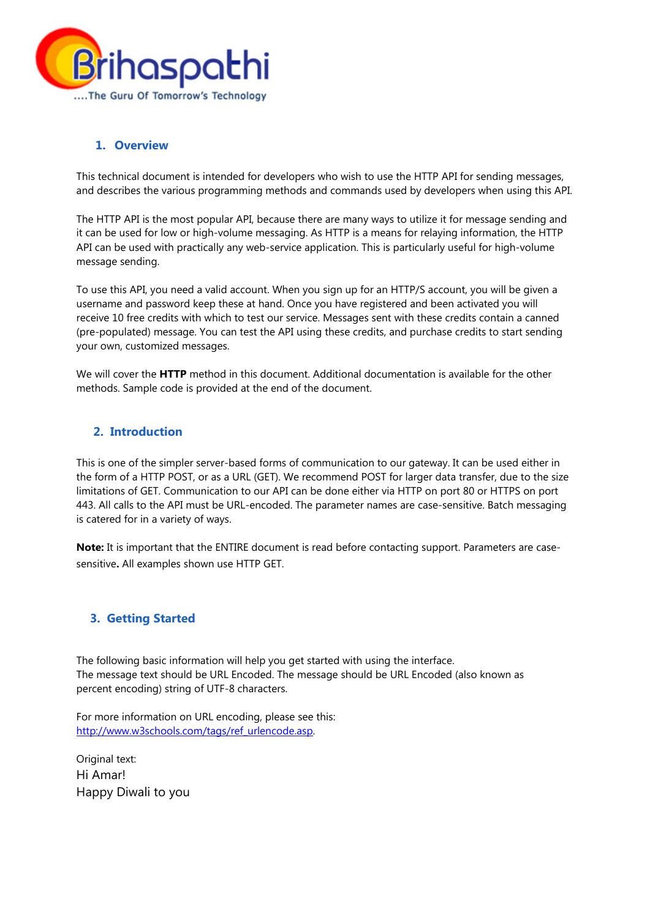

## **1. Overview**

This technical document is intended for developers who wish to use the HTTP API for sending messages, and describes the various programming methods and commands used by developers when using this API.

The HTTP API is the most popular API, because there are many ways to utilize it for message sending and it can be used for low or high-volume messaging. As HTTP is a means for relaying information, the HTTP API can be used with practically any web-service application. This is particularly useful for high-volume message sending.

To use this API, you need a valid account. When you sign up for an HTTP/S account, you will be given a username and password keep these at hand. Once you have registered and been activated you will receive 10 free credits with which to test our service. Messages sent with these credits contain a canned (pre-populated) message. You can test the API using these credits, and purchase credits to start sending your own, customized messages.

We will cover the **HTTP** method in this document. Additional documentation is available for the other methods. Sample code is provided at the end of the document.

# **2. Introduction**

This is one of the simpler server-based forms of communication to our gateway. It can be used either in the form of a HTTP POST, or as a URL (GET). We recommend POST for larger data transfer, due to the size limitations of GET. Communication to our API can be done either via HTTP on port 80 or HTTPS on port 443. All calls to the API must be URL-encoded. The parameter names are case-sensitive. Batch messaging is catered for in a variety of ways.

**Note:** It is important that the ENTIRE document is read before contacting support. Parameters are casesensitive**.** All examples shown use HTTP GET.

#### **3. Getting Started**

The following basic information will help you get started with using the interface. The message text should be URL Encoded. The message should be URL Encoded (also known as percent encoding) string of UTF-8 characters.

For more information on URL encoding, please see this: http://www.w3schools.com/tags/ref\_urlencode.asp.

Original text: Hi Amar! Happy Diwali to you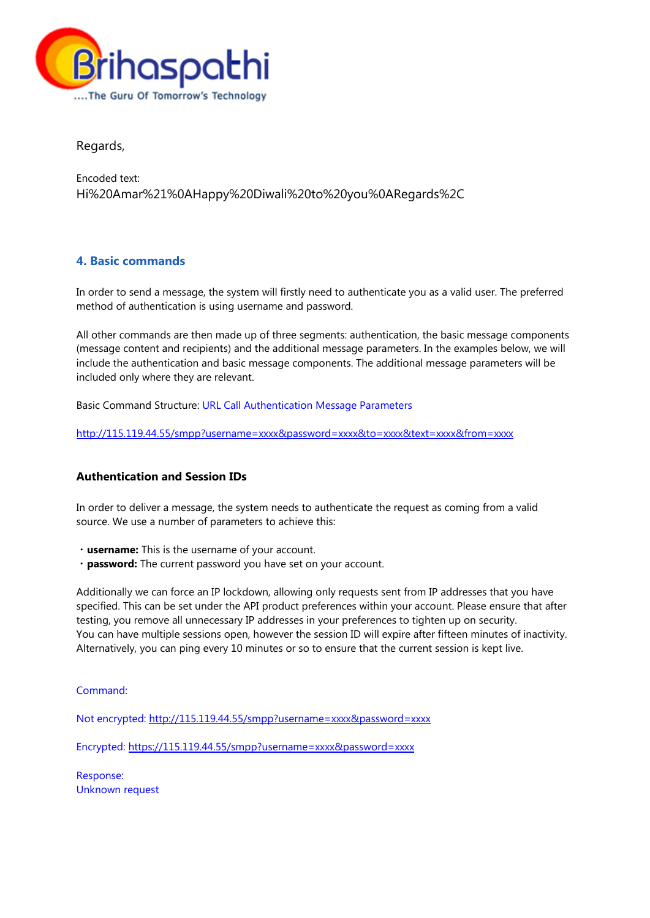

Regards,

Encoded text: Hi%20Amar%21%0AHappy%20Diwali%20to%20you%0ARegards%2C

# **4. Basic commands**

In order to send a message, the system will firstly need to authenticate you as a valid user. The preferred method of authentication is using username and password.

All other commands are then made up of three segments: authentication, the basic message components (message content and recipients) and the additional message parameters. In the examples below, we will include the authentication and basic message components. The additional message parameters will be included only where they are relevant.

Basic Command Structure: URL Call Authentication Message Parameters

http://115.119.44.55/smpp?username=xxxx&password=xxxx&to=xxxx&text=xxxx&from=xxxx

## **Authentication and Session IDs**

In order to deliver a message, the system needs to authenticate the request as coming from a valid source. We use a number of parameters to achieve this:

- ・**username:** This is the username of your account.
- ・**password:** The current password you have set on your account.

Additionally we can force an IP lockdown, allowing only requests sent from IP addresses that you have specified. This can be set under the API product preferences within your account. Please ensure that after testing, you remove all unnecessary IP addresses in your preferences to tighten up on security. You can have multiple sessions open, however the session ID will expire after fifteen minutes of inactivity. Alternatively, you can ping every 10 minutes or so to ensure that the current session is kept live.

Command:

Not encrypted: http://115.119.44.55/smpp?username=xxxx&password=xxxx

Encrypted: https://115.119.44.55/smpp?username=xxxx&password=xxxx

Response: Unknown request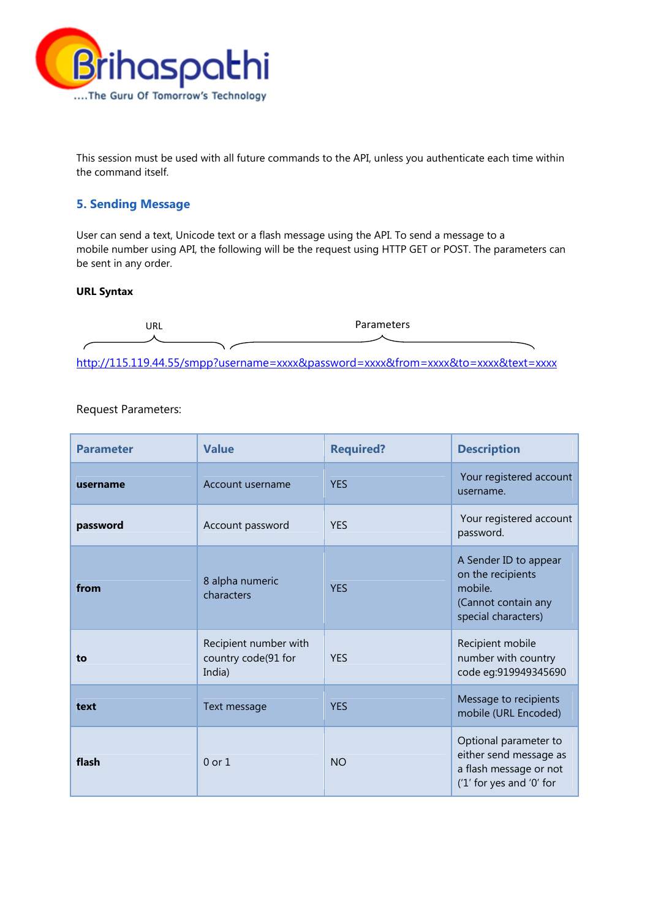

This session must be used with all future commands to the API, unless you authenticate each time within the command itself.

## **5. Sending Message**

User can send a text, Unicode text or a flash message using the API. To send a message to a mobile number using API, the following will be the request using HTTP GET or POST. The parameters can be sent in any order.

#### **URL Syntax**



### Request Parameters:

| <b>Parameter</b> | <b>Value</b>                                           | <b>Required?</b> | <b>Description</b>                                                                                    |
|------------------|--------------------------------------------------------|------------------|-------------------------------------------------------------------------------------------------------|
| username         | Account username                                       | <b>YFS</b>       | Your registered account<br>username.                                                                  |
| password         | Account password                                       | <b>YFS</b>       | Your registered account<br>password.                                                                  |
| from             | 8 alpha numeric<br>characters                          | <b>YES</b>       | A Sender ID to appear<br>on the recipients<br>mobile.<br>(Cannot contain any<br>special characters)   |
| to               | Recipient number with<br>country code(91 for<br>India) | <b>YES</b>       | Recipient mobile<br>number with country<br>code eg:919949345690                                       |
| text             | Text message                                           | <b>YES</b>       | Message to recipients<br>mobile (URL Encoded)                                                         |
| flash            | $0$ or $1$                                             | <b>NO</b>        | Optional parameter to<br>either send message as<br>a flash message or not<br>('1' for yes and '0' for |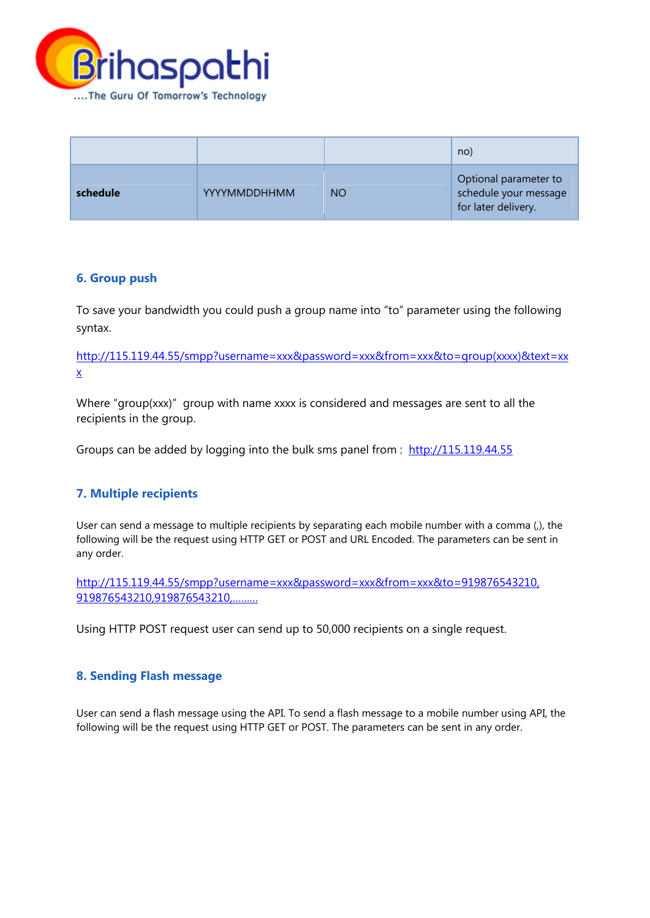

|          |                     |           | no)                                                                   |
|----------|---------------------|-----------|-----------------------------------------------------------------------|
| schedule | <b>YYYYMMDDHHMM</b> | <b>NO</b> | Optional parameter to<br>schedule your message<br>for later delivery. |

# **6. Group push**

To save your bandwidth you could push a group name into "to" parameter using the following syntax.

http://115.119.44.55/smpp?username=xxx&password=xxx&from=xxx&to=group(xxxx)&text=xx x

Where "group(xxx)" group with name xxxx is considered and messages are sent to all the recipients in the group.

Groups can be added by logging into the bulk sms panel from : http://115.119.44.55

# **7. Multiple recipients**

User can send a message to multiple recipients by separating each mobile number with a comma (,), the following will be the request using HTTP GET or POST and URL Encoded. The parameters can be sent in any order.

http://115.119.44.55/smpp?username=xxx&password=xxx&from=xxx&to=919876543210, 919876543210,919876543210,………

Using HTTP POST request user can send up to 50,000 recipients on a single request.

# **8. Sending Flash message**

User can send a flash message using the API. To send a flash message to a mobile number using API, the following will be the request using HTTP GET or POST. The parameters can be sent in any order.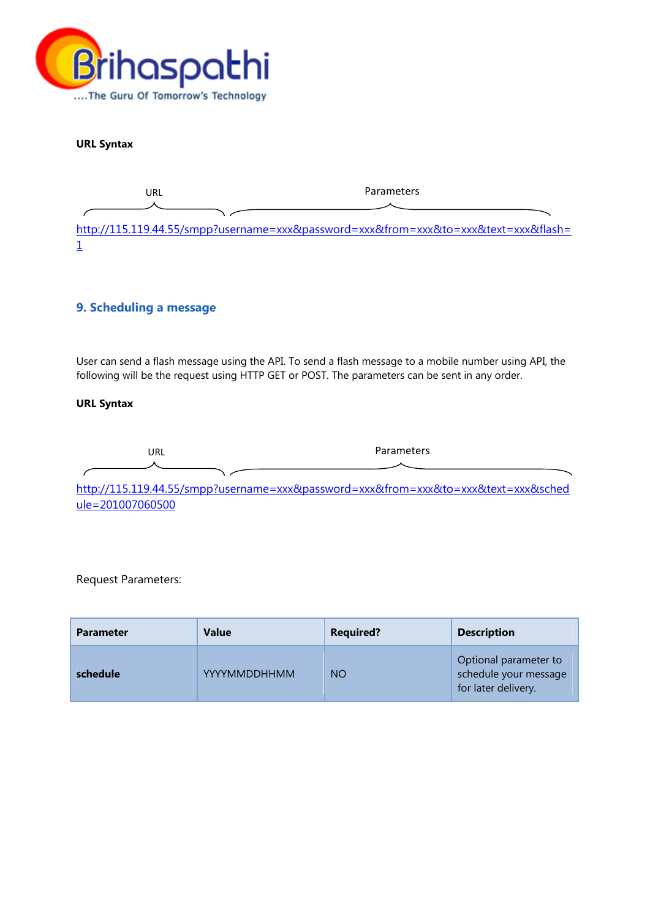

**URL Syntax** 

URL Parameters

http://115.119.44.55/smpp?username=xxx&password=xxx&from=xxx&to=xxx&text=xxx&flash= 1

## **9. Scheduling a message**

User can send a flash message using the API. To send a flash message to a mobile number using API, the following will be the request using HTTP GET or POST. The parameters can be sent in any order.

#### **URL Syntax**

URL Parameters

http://115.119.44.55/smpp?username=xxx&password=xxx&from=xxx&to=xxx&text=xxx&sched ule=201007060500

Request Parameters:

| <b>Parameter</b> | <b>Value</b> | <b>Required?</b> | <b>Description</b>                                                    |
|------------------|--------------|------------------|-----------------------------------------------------------------------|
| schedule         | YYYYMMDDHHMM | <b>NO</b>        | Optional parameter to<br>schedule your message<br>for later delivery. |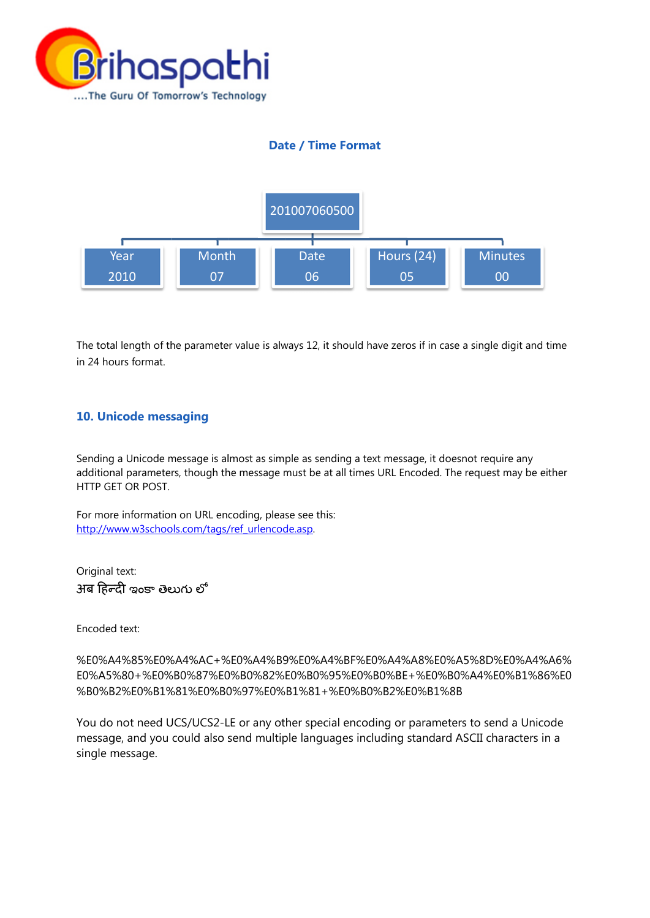

# **Date / Time Format**



The total length of the parameter value is always 12, it should have zeros if in case a single digit and time in 24 ho urs format.

## 10. Unicode messaging

Sending a Unicode message is almost as simple as sending a text message, it doesnot require any additional parameters, though the message must be at all times URL Encoded. The request may be either HTTP GET OR POST.

For more information on URL encoding, please see this: http://www.w3schools.com/tags/ref\_urlencode.asp.

Original text:  $\overline{\mathcal{S}}$ ৰ हिन्दी ఇంకా తెలుగు లో

Encoded d text:

%E0%A4%85%E0%A4%AC+%E0%A4%B9%E0%A4%BF%E0%A4%A8%E0%A5%8D%E0%A4%A6%<br>E0%A5%80+%E0%B0%87%E0%B0%82%E0%B0%95%E0%B0%BE+%E0%B0%A4%E0%B1%86%E0 E0%A5% %80+%E0% %B0%87%E0 0%B0%82% E0%B0%95% %E0%B0%B BE+%E0%B0 0%A4%E0% %B1%86%E0 %B0%B2%E0%B1%81%E0%B0%97%E0%B1%81+%E0%B0%B2%E0%B1%8B

You do not need UCS/UCS2-LE or any other special encoding or parameters to send a Unicode message, and you could also send multiple languages including standard ASCII characters in a single m message.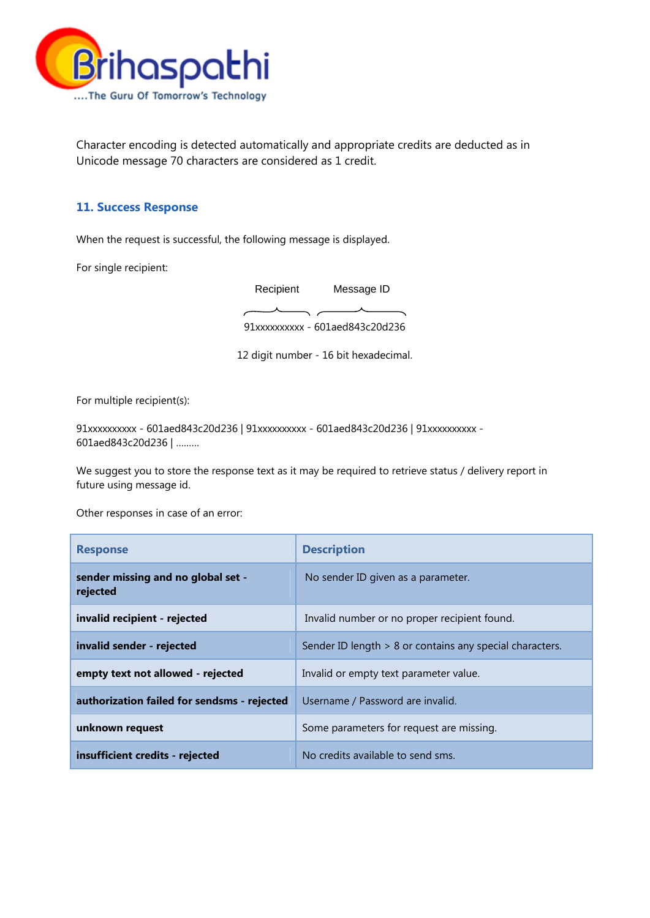

Character encoding is detected automatically and appropriate credits are deducted as in Unicode message 70 characters are considered as 1 credit.

## **11. Success Response**

When the request is successful, the following message is displayed.

For single recipient:

91xxxxxxxxxx - 601aed843c20d236 Recipient Message ID

12 digit number - 16 bit hexadecimal.

For multiple recipient(s):

91xxxxxxxxxx - 601aed843c20d236 | 91xxxxxxxxxx - 601aed843c20d236 | 91xxxxxxxxxx - 601aed843c20d236 | ………

We suggest you to store the response text as it may be required to retrieve status / delivery report in future using message id.

Other responses in case of an error:

| <b>Response</b>                                | <b>Description</b>                                       |
|------------------------------------------------|----------------------------------------------------------|
| sender missing and no global set -<br>rejected | No sender ID given as a parameter.                       |
| invalid recipient - rejected                   | Invalid number or no proper recipient found.             |
| invalid sender - rejected                      | Sender ID length > 8 or contains any special characters. |
| empty text not allowed - rejected              | Invalid or empty text parameter value.                   |
| authorization failed for sendsms - rejected    | Username / Password are invalid.                         |
| unknown request                                | Some parameters for request are missing.                 |
| insufficient credits - rejected                | No credits available to send sms.                        |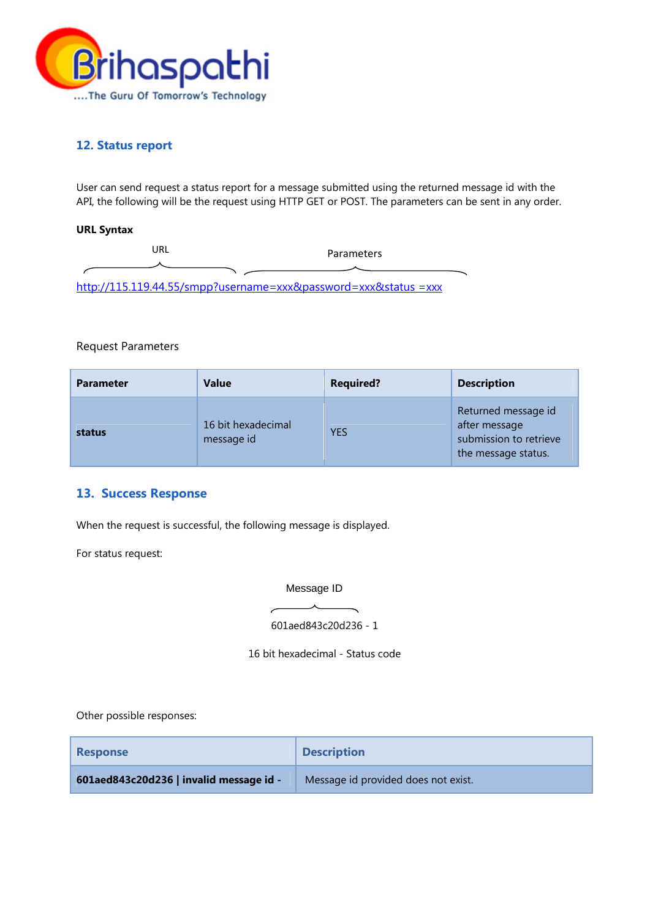

## **12. Status report**

User can send request a status report for a message submitted using the returned message id with the API, the following will be the request using HTTP GET or POST. The parameters can be sent in any order.

### **URL Syntax**

| JRL                                                             | Parameters |
|-----------------------------------------------------------------|------------|
|                                                                 |            |
| http://115.119.44.55/smpp?username=xxx&password=xxx&status =xxx |            |

### Request Parameters

| <b>Parameter</b> | <b>Value</b>                     | <b>Required?</b> | <b>Description</b>                                                                    |
|------------------|----------------------------------|------------------|---------------------------------------------------------------------------------------|
| status           | 16 bit hexadecimal<br>message id | <b>YES</b>       | Returned message id<br>after message<br>submission to retrieve<br>the message status. |

## **13. Success Response**

When the request is successful, the following message is displayed.

For status request:

Message ID

601aed843c20d236 - 1

16 bit hexadecimal - Status code

Other possible responses:

| <b>Response</b>                         | <b>Description</b>                  |
|-----------------------------------------|-------------------------------------|
| 601aed843c20d236   invalid message id - | Message id provided does not exist. |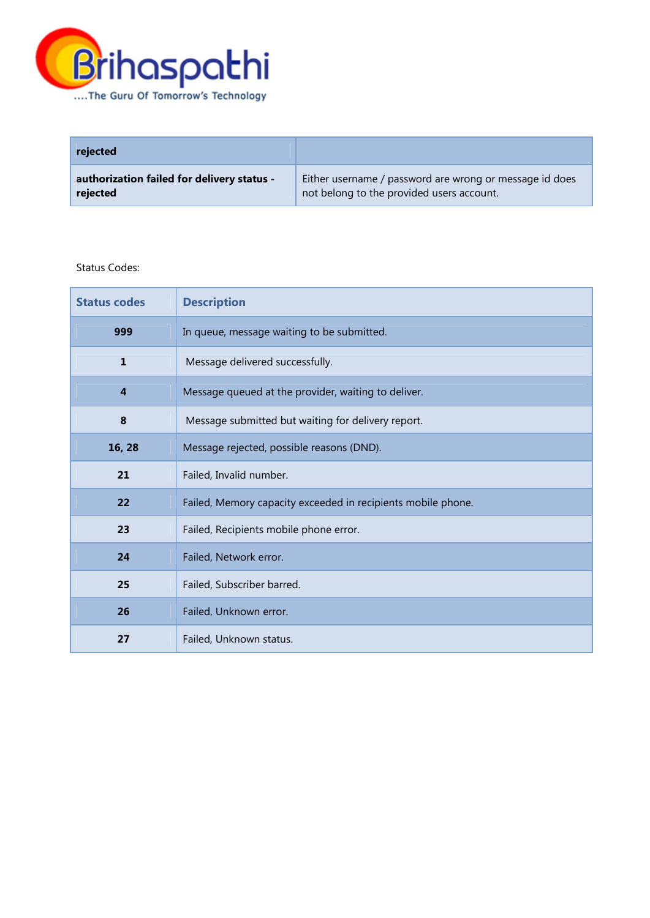

| rejected                                   |                                                         |
|--------------------------------------------|---------------------------------------------------------|
| authorization failed for delivery status - | Either username / password are wrong or message id does |
| rejected                                   | not belong to the provided users account.               |

#### Status Codes:

| <b>Status codes</b> | <b>Description</b>                                           |
|---------------------|--------------------------------------------------------------|
| 999                 | In queue, message waiting to be submitted.                   |
| $\mathbf{1}$        | Message delivered successfully.                              |
| $\overline{4}$      | Message queued at the provider, waiting to deliver.          |
| 8                   | Message submitted but waiting for delivery report.           |
| 16, 28              | Message rejected, possible reasons (DND).                    |
| 21                  | Failed, Invalid number.                                      |
| 22                  | Failed, Memory capacity exceeded in recipients mobile phone. |
| 23                  | Failed, Recipients mobile phone error.                       |
| 24                  | Failed, Network error.                                       |
| 25                  | Failed, Subscriber barred.                                   |
| 26                  | Failed, Unknown error.                                       |
| 27                  | Failed, Unknown status.                                      |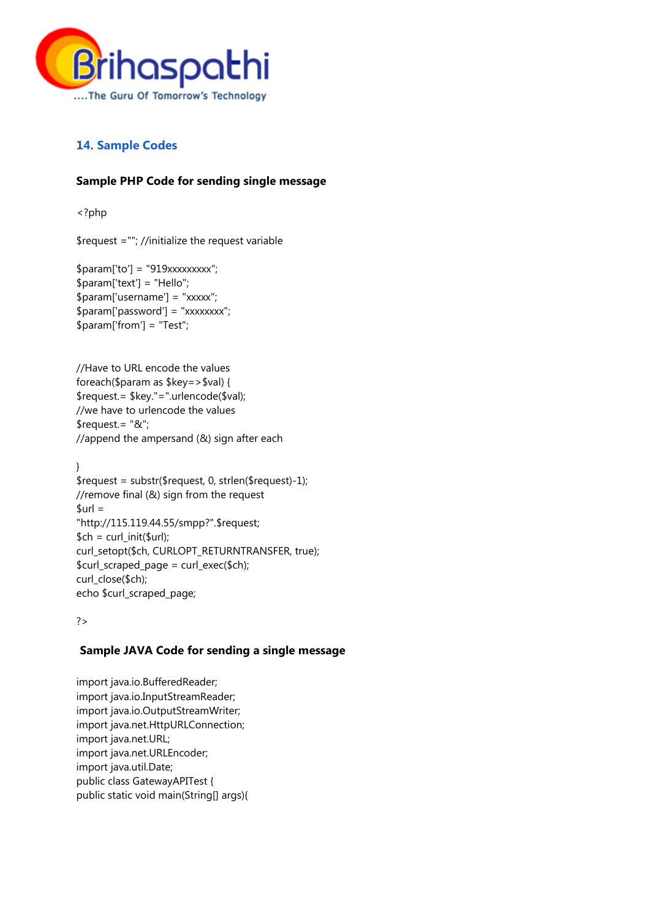

# **14. Sample Codes**

# **Sample PHP Code for sending single message**

<?php

\$request =""; //initialize the request variable

\$param['to'] = "919xxxxxxxxx"; \$param['text'] = "Hello"; \$param['username'] = "xxxxx";  $$param['password'] = "xxxxxxx";$ \$param['from'] = "Test";

//Have to URL encode the values foreach(\$param as \$key=>\$val) { \$request.= \$key."=".urlencode(\$val); //we have to urlencode the values \$request.= "&"; //append the ampersand (&) sign after each

} \$request = substr(\$request, 0, strlen(\$request)-1); //remove final (&) sign from the request  $$url =$ "http://115.119.44.55/smpp?".\$request;  $$ch = curl_init({$url});$ curl\_setopt(\$ch, CURLOPT\_RETURNTRANSFER, true); \$curl\_scraped\_page = curl\_exec(\$ch); curl\_close(\$ch); echo \$curl\_scraped\_page;

#### ?>

## **Sample JAVA Code for sending a single message**

import java.io.BufferedReader; import java.io.InputStreamReader; import java.io.OutputStreamWriter; import java.net.HttpURLConnection; import java.net.URL; import java.net.URLEncoder; import java.util.Date; public class GatewayAPITest { public static void main(String[] args){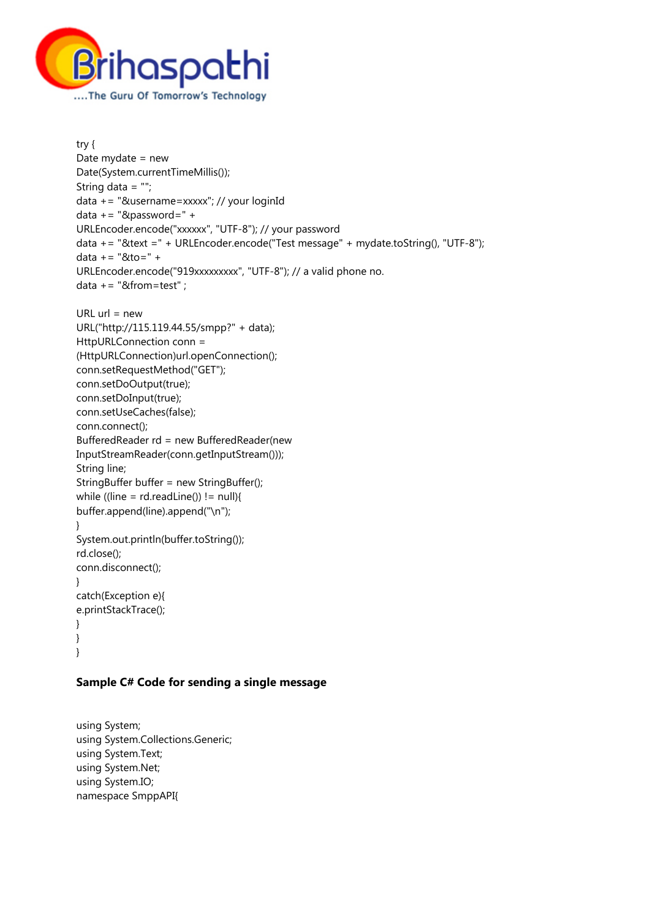

```
try { 
Date mydate = new 
Date(System.currentTimeMillis()); 
String data = ""; 
data += "&username=xxxxx"; // your loginId 
data += "&password=" + 
URLEncoder.encode("xxxxxx", "UTF-8"); // your password 
data += "&text =" + URLEncoder.encode("Test message" + mydate.toString(), "UTF-8"); 
data += "&to=" + 
URLEncoder.encode("919xxxxxxxxx", "UTF-8"); // a valid phone no.
data += "&from=test" ;
URL url = newURL("http://115.119.44.55/smpp?" + data); 
HttpURLConnection conn = 
(HttpURLConnection)url.openConnection(); 
conn.setRequestMethod("GET"); 
conn.setDoOutput(true); 
conn.setDoInput(true); 
conn.setUseCaches(false); 
conn.connect(); 
BufferedReader rd = new BufferedReader(new 
InputStreamReader(conn.getInputStream())); 
String line; 
StringBuffer buffer = new StringBuffer(); 
while ((line = rd.readLine()) != null}
buffer.append(line).append("\n"); 
} 
System.out.println(buffer.toString()); 
rd.close(); 
conn.disconnect(); 
} 
catch(Exception e){ 
e.printStackTrace(); 
} 
} 
}
```
## **Sample C# Code for sending a single message**

using System; using System.Collections.Generic; using System.Text; using System.Net; using System.IO; namespace SmppAPI{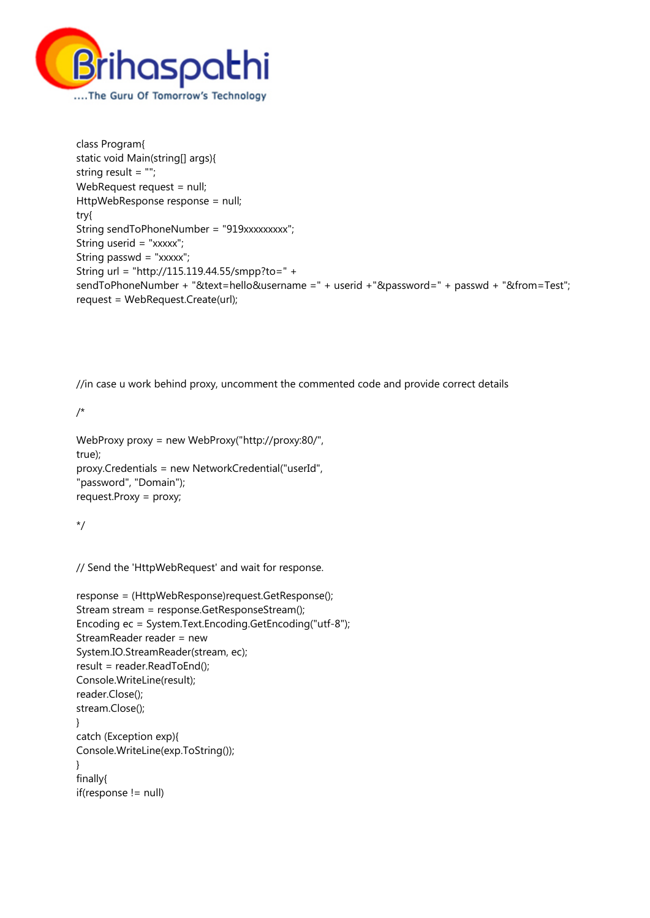

class Program{ static void Main(string[] args){ string result = ""; WebRequest request = null; HttpWebResponse response = null; try{ String sendToPhoneNumber = "919xxxxxxxxx"; String userid = "xxxxx"; String passwd = "xxxxx"; String url = "http://115.119.44.55/smpp?to=" + sendToPhoneNumber + "&text=hello&username =" + userid +"&password=" + passwd + "&from=Test"; request = WebRequest.Create(url);

//in case u work behind proxy, uncomment the commented code and provide correct details

/\*

```
WebProxy proxy = new WebProxy("http://proxy:80/", 
true); 
proxy.Credentials = new NetworkCredential("userId", 
"password", "Domain"); 
request.Proxy = proxy;
```
\*/

// Send the 'HttpWebRequest' and wait for response.

```
response = (HttpWebResponse)request.GetResponse(); 
Stream stream = response.GetResponseStream(); 
Encoding ec = System.Text.Encoding.GetEncoding("utf-8"); 
StreamReader reader = new 
System.IO.StreamReader(stream, ec); 
result = reader.ReadToEnd(); 
Console.WriteLine(result); 
reader.Close(); 
stream.Close(); 
} 
catch (Exception exp){ 
Console.WriteLine(exp.ToString()); 
} 
finally{ 
if(response != null)
```